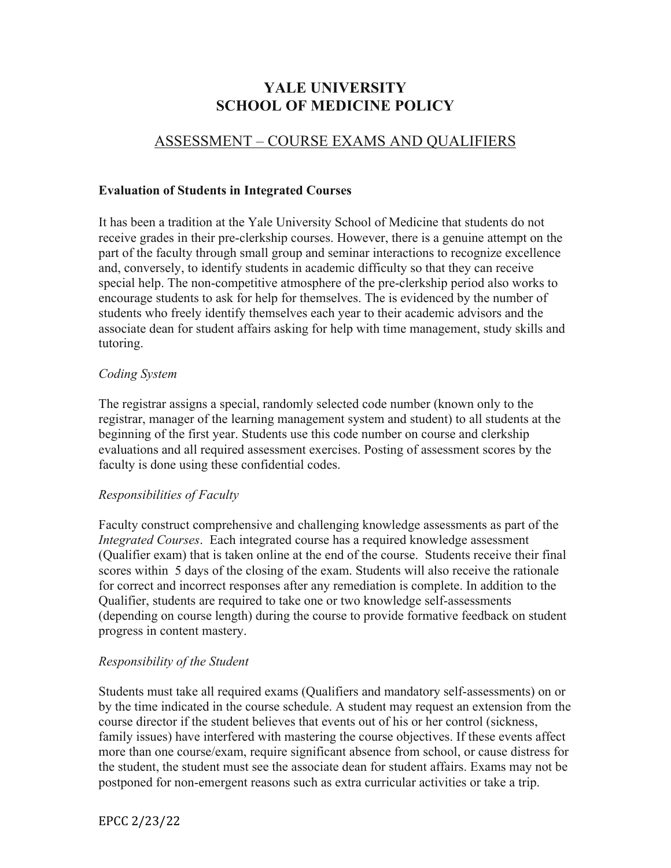# **YALE UNIVERSITY SCHOOL OF MEDICINE POLICY**

# ASSESSMENT – COURSE EXAMS AND QUALIFIERS

#### **Evaluation of Students in Integrated Courses**

It has been a tradition at the Yale University School of Medicine that students do not receive grades in their pre-clerkship courses. However, there is a genuine attempt on the part of the faculty through small group and seminar interactions to recognize excellence and, conversely, to identify students in academic difficulty so that they can receive special help. The non-competitive atmosphere of the pre-clerkship period also works to encourage students to ask for help for themselves. The is evidenced by the number of students who freely identify themselves each year to their academic advisors and the associate dean for student affairs asking for help with time management, study skills and tutoring.

### *Coding System*

The registrar assigns a special, randomly selected code number (known only to the registrar, manager of the learning management system and student) to all students at the beginning of the first year. Students use this code number on course and clerkship evaluations and all required assessment exercises. Posting of assessment scores by the faculty is done using these confidential codes.

### *Responsibilities of Faculty*

Faculty construct comprehensive and challenging knowledge assessments as part of the *Integrated Courses*. Each integrated course has a required knowledge assessment (Qualifier exam) that is taken online at the end of the course. Students receive their final scores within 5 days of the closing of the exam. Students will also receive the rationale for correct and incorrect responses after any remediation is complete. In addition to the Qualifier, students are required to take one or two knowledge self-assessments (depending on course length) during the course to provide formative feedback on student progress in content mastery.

### *Responsibility of the Student*

Students must take all required exams (Qualifiers and mandatory self-assessments) on or by the time indicated in the course schedule. A student may request an extension from the course director if the student believes that events out of his or her control (sickness, family issues) have interfered with mastering the course objectives. If these events affect more than one course/exam, require significant absence from school, or cause distress for the student, the student must see the associate dean for student affairs. Exams may not be postponed for non-emergent reasons such as extra curricular activities or take a trip.